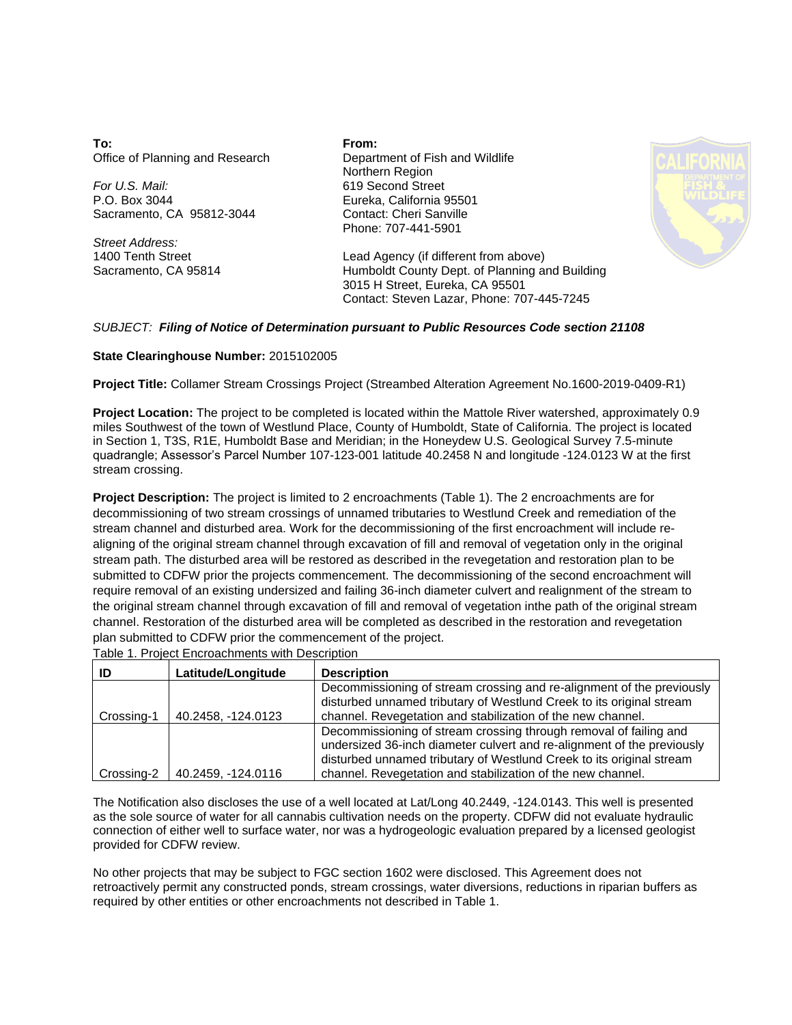**To:** Office of Planning and Research

*For U.S. Mail:* P.O. Box 3044 Sacramento, CA 95812-3044

*Street Address:* 1400 Tenth Street Sacramento, CA 95814 **From:** Department of Fish and Wildlife Northern Region 619 Second Street Eureka, California 95501 Contact: Cheri Sanville Phone: 707-441-5901



Lead Agency (if different from above) Humboldt County Dept. of Planning and Building 3015 H Street, Eureka, CA 95501 Contact: Steven Lazar, Phone: 707-445-7245

## *SUBJECT: Filing of Notice of Determination pursuant to Public Resources Code section 21108*

## **State Clearinghouse Number:** 2015102005

**Project Title:** Collamer Stream Crossings Project (Streambed Alteration Agreement No.1600-2019-0409-R1)

stream crossing. quadrangle; Assessor's Parcel Number 107-123-001 latitude 40.2458 N and longitude -124.0123 W at the first in Section 1, T3S, R1E, Humboldt Base and Meridian; in the Honeydew U.S. Geological Survey 7.5-minute miles Southwest of the town of Westlund Place, County of Humboldt, State of California. The project is located **Project Location:** The project to be completed is located within the Mattole River watershed, approximately 0.9

plan submitted to CDFW prior the commencement of the project. channel. Restoration of the disturbed area will be completed as described in the restoration and revegetation the original stream channel through excavation of fill and removal of vegetation inthe path of the original stream require removal of an existing undersized and failing 36-inch diameter culvert and realignment of the stream to submitted to CDFW prior the projects commencement. The decommissioning of the second encroachment will stream path. The disturbed area will be restored as described in the revegetation and restoration plan to be aligning of the original stream channel through excavation of fill and removal of vegetation only in the original stream channel and disturbed area. Work for the decommissioning of the first encroachment will include redecommissioning of two stream crossings of unnamed tributaries to Westlund Creek and remediation of the **Project Description:** The project is limited to 2 encroachments (Table 1). The 2 encroachments are for

Table 1. Project Encroachments with Description

|            | Latitude/Longitude | <b>Description</b>                                                                                                                                                                                                  |  |  |
|------------|--------------------|---------------------------------------------------------------------------------------------------------------------------------------------------------------------------------------------------------------------|--|--|
|            |                    | Decommissioning of stream crossing and re-alignment of the previously<br>disturbed unnamed tributary of Westlund Creek to its original stream                                                                       |  |  |
| Crossing-1 | 40.2458, -124.0123 | channel. Revegetation and stabilization of the new channel.                                                                                                                                                         |  |  |
|            |                    | Decommissioning of stream crossing through removal of failing and<br>undersized 36-inch diameter culvert and re-alignment of the previously<br>disturbed unnamed tributary of Westlund Creek to its original stream |  |  |
| Crossing-2 | 40.2459, -124.0116 | channel. Revegetation and stabilization of the new channel.                                                                                                                                                         |  |  |

The Notification also discloses the use of a well located at Lat/Long 40.2449, -124.0143. This well is presented as the sole source of water for all cannabis cultivation needs on the property. CDFW did not evaluate hydraulic connection of either well to surface water, nor was a hydrogeologic evaluation prepared by a licensed geologist provided for CDFW review.

No other projects that may be subject to FGC section 1602 were disclosed. This Agreement does not retroactively permit any constructed ponds, stream crossings, water diversions, reductions in riparian buffers as required by other entities or other encroachments not described in Table 1.